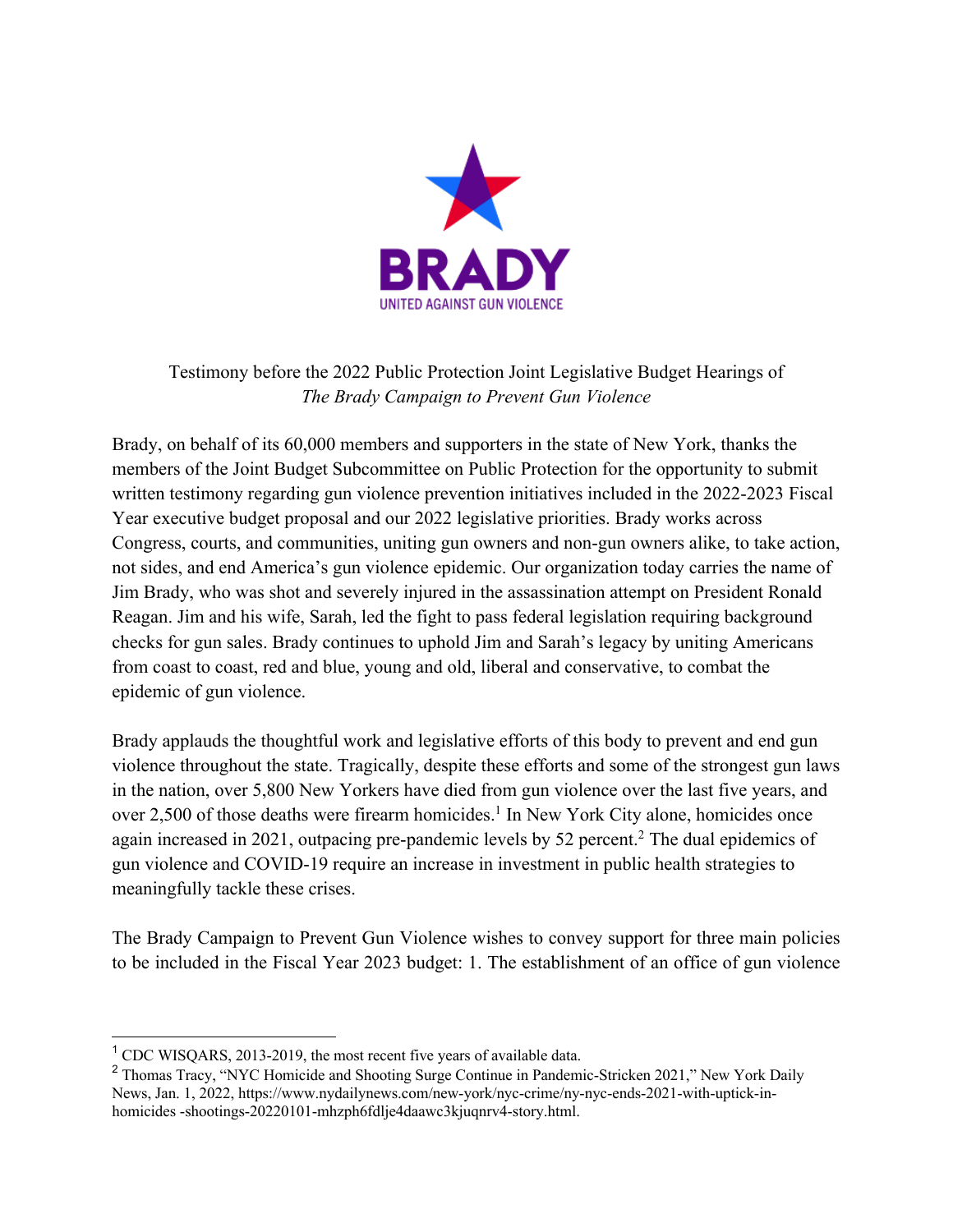

## Testimony before the 2022 Public Protection Joint Legislative Budget Hearings of *The Brady Campaign to Prevent Gun Violence*

Brady, on behalf of its 60,000 members and supporters in the state of New York, thanks the members of the Joint Budget Subcommittee on Public Protection for the opportunity to submit written testimony regarding gun violence prevention initiatives included in the 2022-2023 Fiscal Year executive budget proposal and our 2022 legislative priorities. Brady works across Congress, courts, and communities, uniting gun owners and non-gun owners alike, to take action, not sides, and end America's gun violence epidemic. Our organization today carries the name of Jim Brady, who was shot and severely injured in the assassination attempt on President Ronald Reagan. Jim and his wife, Sarah, led the fight to pass federal legislation requiring background checks for gun sales. Brady continues to uphold Jim and Sarah's legacy by uniting Americans from coast to coast, red and blue, young and old, liberal and conservative, to combat the epidemic of gun violence.

Brady applauds the thoughtful work and legislative efforts of this body to prevent and end gun violence throughout the state. Tragically, despite these efforts and some of the strongest gun laws in the nation, over 5,800 New Yorkers have died from gun violence over the last five years, and over 2,500 of those deaths were firearm homicides.<sup>1</sup> In New York City alone, homicides once again increased in 2021, outpacing pre-pandemic levels by 52 percent.<sup>2</sup> The dual epidemics of gun violence and COVID-19 require an increase in investment in public health strategies to meaningfully tackle these crises.

The Brady Campaign to Prevent Gun Violence wishes to convey support for three main policies to be included in the Fiscal Year 2023 budget: 1. The establishment of an office of gun violence

<sup>&</sup>lt;sup>1</sup> CDC WISQARS, 2013-2019, the most recent five years of available data.

<sup>&</sup>lt;sup>2</sup> Thomas Tracy, "NYC Homicide and Shooting Surge Continue in Pandemic-Stricken 2021," New York Daily News, Jan. 1, 2022, https://www.nydailynews.com/new-york/nyc-crime/ny-nyc-ends-2021-with-uptick-inhomicides -shootings-20220101-mhzph6fdlje4daawc3kjuqnrv4-story.html.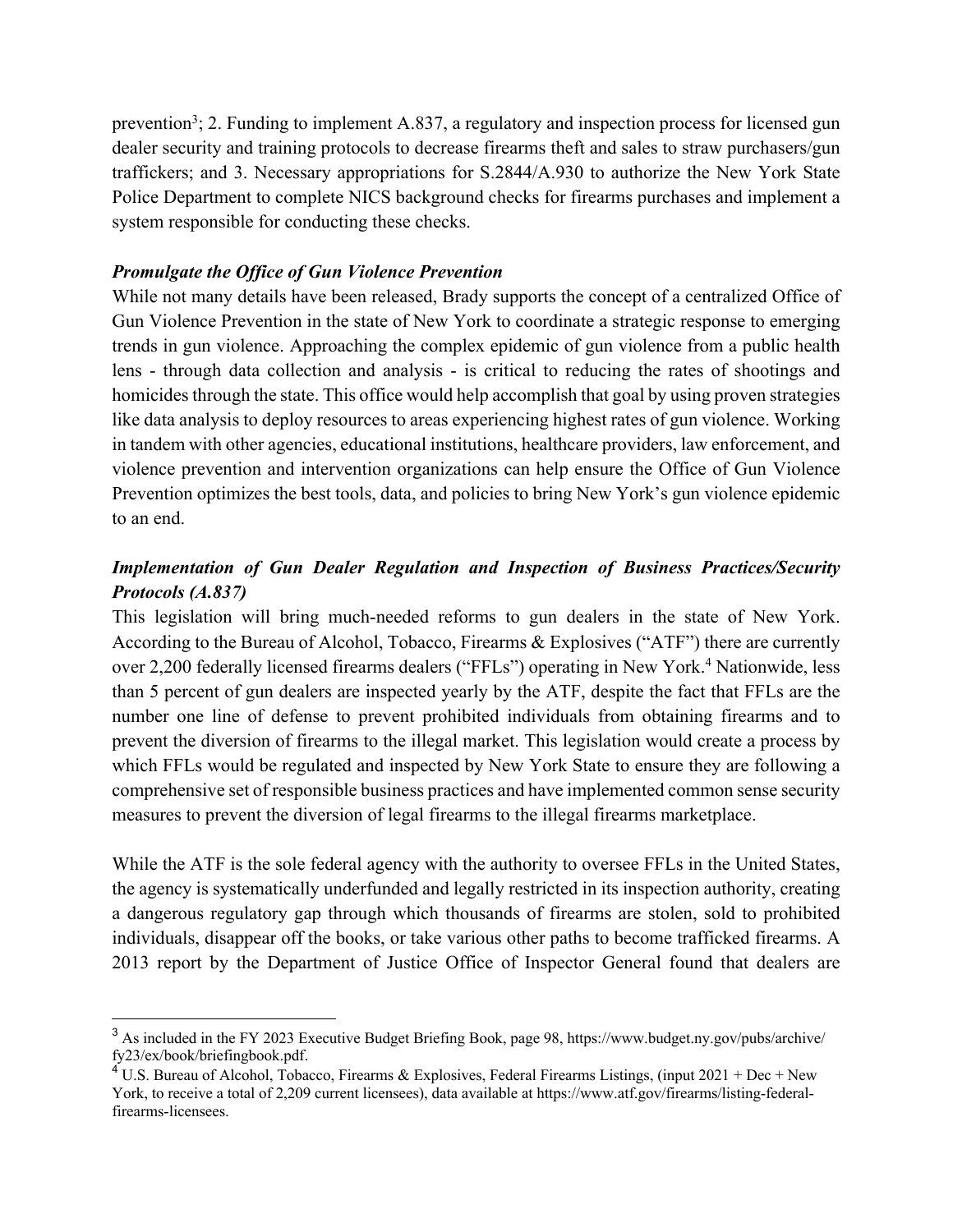prevention<sup>3</sup>; 2. Funding to implement A.837, a regulatory and inspection process for licensed gun dealer security and training protocols to decrease firearms theft and sales to straw purchasers/gun traffickers; and 3. Necessary appropriations for S.2844/A.930 to authorize the New York State Police Department to complete NICS background checks for firearms purchases and implement a system responsible for conducting these checks.

## *Promulgate the Office of Gun Violence Prevention*

While not many details have been released, Brady supports the concept of a centralized Office of Gun Violence Prevention in the state of New York to coordinate a strategic response to emerging trends in gun violence. Approaching the complex epidemic of gun violence from a public health lens - through data collection and analysis - is critical to reducing the rates of shootings and homicides through the state. This office would help accomplish that goal by using proven strategies like data analysis to deploy resources to areas experiencing highest rates of gun violence. Working in tandem with other agencies, educational institutions, healthcare providers, law enforcement, and violence prevention and intervention organizations can help ensure the Office of Gun Violence Prevention optimizes the best tools, data, and policies to bring New York's gun violence epidemic to an end.

## *Implementation of Gun Dealer Regulation and Inspection of Business Practices/Security Protocols (A.837)*

This legislation will bring much-needed reforms to gun dealers in the state of New York. According to the Bureau of Alcohol, Tobacco, Firearms & Explosives ("ATF") there are currently over 2,200 federally licensed firearms dealers ("FFLs") operating in New York. <sup>4</sup> Nationwide, less than 5 percent of gun dealers are inspected yearly by the ATF, despite the fact that FFLs are the number one line of defense to prevent prohibited individuals from obtaining firearms and to prevent the diversion of firearms to the illegal market. This legislation would create a process by which FFLs would be regulated and inspected by New York State to ensure they are following a comprehensive set of responsible business practices and have implemented common sense security measures to prevent the diversion of legal firearms to the illegal firearms marketplace.

While the ATF is the sole federal agency with the authority to oversee FFLs in the United States, the agency is systematically underfunded and legally restricted in its inspection authority, creating a dangerous regulatory gap through which thousands of firearms are stolen, sold to prohibited individuals, disappear off the books, or take various other paths to become trafficked firearms. A 2013 report by the Department of Justice Office of Inspector General found that dealers are

<sup>3</sup> As included in the FY 2023 Executive Budget Briefing Book, page 98, https://www.budget.ny.gov/pubs/archive/ fy23/ex/book/briefingbook.pdf.

<sup>&</sup>lt;sup>4</sup> U.S. Bureau of Alcohol, Tobacco, Firearms & Explosives, Federal Firearms Listings, (input 2021 + Dec + New York, to receive a total of 2,209 current licensees), data available at https://www.atf.gov/firearms/listing-federalfirearms-licensees.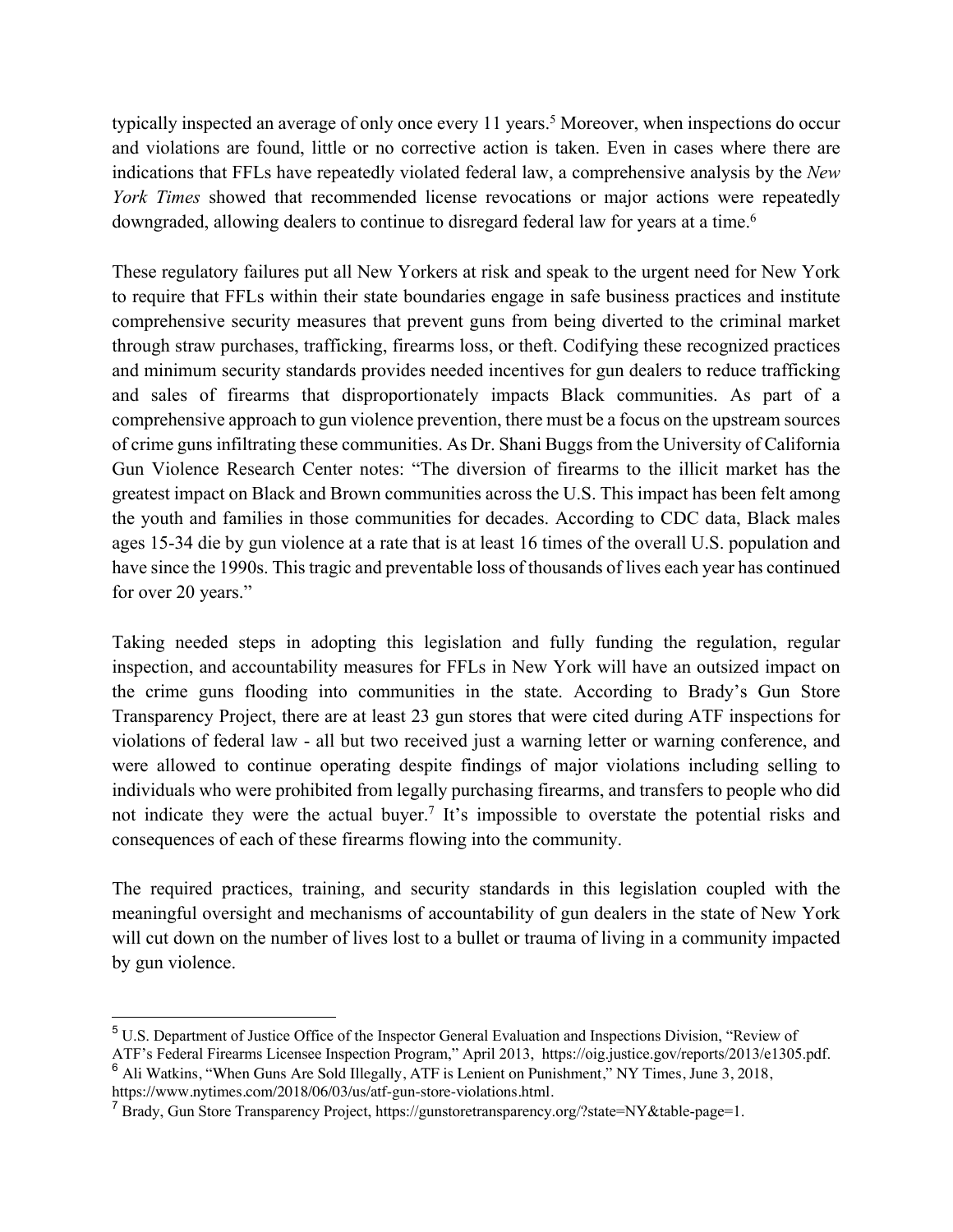typically inspected an average of only once every 11 years.<sup>5</sup> Moreover, when inspections do occur and violations are found, little or no corrective action is taken. Even in cases where there are indications that FFLs have repeatedly violated federal law, a comprehensive analysis by the *New York Times* showed that recommended license revocations or major actions were repeatedly downgraded, allowing dealers to continue to disregard federal law for years at a time.<sup>6</sup>

These regulatory failures put all New Yorkers at risk and speak to the urgent need for New York to require that FFLs within their state boundaries engage in safe business practices and institute comprehensive security measures that prevent guns from being diverted to the criminal market through straw purchases, trafficking, firearms loss, or theft. Codifying these recognized practices and minimum security standards provides needed incentives for gun dealers to reduce trafficking and sales of firearms that disproportionately impacts Black communities. As part of a comprehensive approach to gun violence prevention, there must be a focus on the upstream sources of crime guns infiltrating these communities. As Dr. Shani Buggs from the University of California Gun Violence Research Center notes: "The diversion of firearms to the illicit market has the greatest impact on Black and Brown communities across the U.S. This impact has been felt among the youth and families in those communities for decades. According to CDC data, Black males ages 15-34 die by gun violence at a rate that is at least 16 times of the overall U.S. population and have since the 1990s. This tragic and preventable loss of thousands of lives each year has continued for over 20 years."

Taking needed steps in adopting this legislation and fully funding the regulation, regular inspection, and accountability measures for FFLs in New York will have an outsized impact on the crime guns flooding into communities in the state. According to Brady's Gun Store Transparency Project, there are at least 23 gun stores that were cited during ATF inspections for violations of federal law - all but two received just a warning letter or warning conference, and were allowed to continue operating despite findings of major violations including selling to individuals who were prohibited from legally purchasing firearms, and transfers to people who did not indicate they were the actual buyer.<sup>7</sup> It's impossible to overstate the potential risks and consequences of each of these firearms flowing into the community.

The required practices, training, and security standards in this legislation coupled with the meaningful oversight and mechanisms of accountability of gun dealers in the state of New York will cut down on the number of lives lost to a bullet or trauma of living in a community impacted by gun violence.

<sup>5</sup> U.S. Department of Justice Office of the Inspector General Evaluation and Inspections Division, "Review of

ATF's Federal Firearms Licensee Inspection Program," April 2013, https://oig.justice.gov/reports/2013/e1305.pdf. <sup>6</sup> Ali Watkins, "When Guns Are Sold Illegally, ATF is Lenient on Punishment," NY Times, June 3, 2018, https://www.nytimes.com/2018/06/03/us/atf-gun-store-violations.html.

 $<sup>7</sup>$  Brady, Gun Store Transparency Project, https://gunstoretransparency.org/?state=NY&table-page=1.</sup>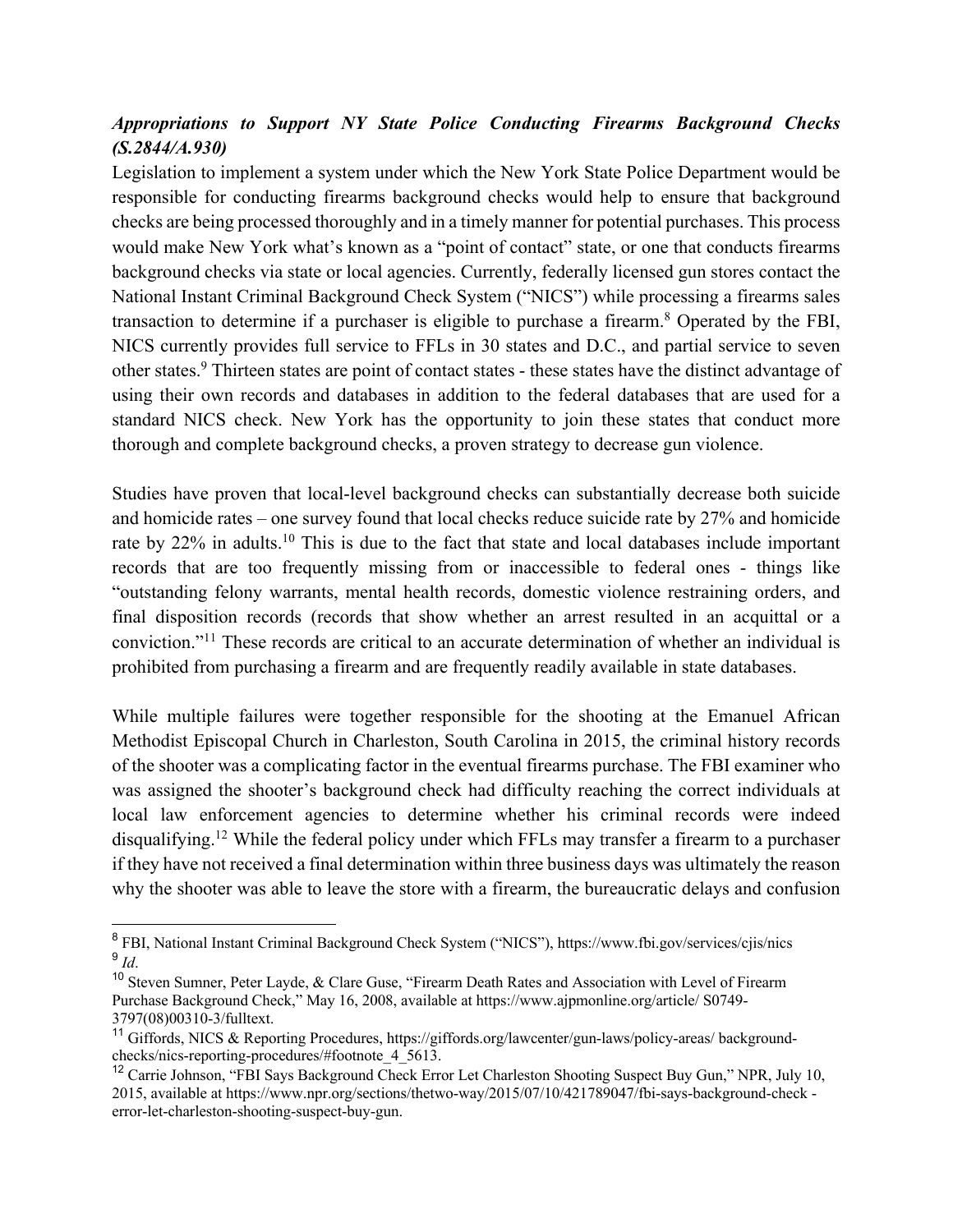## *Appropriations to Support NY State Police Conducting Firearms Background Checks (S.2844/A.930)*

Legislation to implement a system under which the New York State Police Department would be responsible for conducting firearms background checks would help to ensure that background checks are being processed thoroughly and in a timely manner for potential purchases. This process would make New York what's known as a "point of contact" state, or one that conducts firearms background checks via state or local agencies. Currently, federally licensed gun stores contact the National Instant Criminal Background Check System ("NICS") while processing a firearms sales transaction to determine if a purchaser is eligible to purchase a firearm.8 Operated by the FBI, NICS currently provides full service to FFLs in 30 states and D.C., and partial service to seven other states.9 Thirteen states are point of contact states - these states have the distinct advantage of using their own records and databases in addition to the federal databases that are used for a standard NICS check. New York has the opportunity to join these states that conduct more thorough and complete background checks, a proven strategy to decrease gun violence.

Studies have proven that local-level background checks can substantially decrease both suicide and homicide rates – one survey found that local checks reduce suicide rate by 27% and homicide rate by 22% in adults.<sup>10</sup> This is due to the fact that state and local databases include important records that are too frequently missing from or inaccessible to federal ones - things like "outstanding felony warrants, mental health records, domestic violence restraining orders, and final disposition records (records that show whether an arrest resulted in an acquittal or a conviction."11 These records are critical to an accurate determination of whether an individual is prohibited from purchasing a firearm and are frequently readily available in state databases.

While multiple failures were together responsible for the shooting at the Emanuel African Methodist Episcopal Church in Charleston, South Carolina in 2015, the criminal history records of the shooter was a complicating factor in the eventual firearms purchase. The FBI examiner who was assigned the shooter's background check had difficulty reaching the correct individuals at local law enforcement agencies to determine whether his criminal records were indeed disqualifying.<sup>12</sup> While the federal policy under which FFLs may transfer a firearm to a purchaser if they have not received a final determination within three business days was ultimately the reason why the shooter was able to leave the store with a firearm, the bureaucratic delays and confusion

<sup>8</sup> FBI, National Instant Criminal Background Check System ("NICS"), https://www.fbi.gov/services/cjis/nics <sup>9</sup> *Id*.

<sup>10</sup> Steven Sumner, Peter Layde, & Clare Guse, "Firearm Death Rates and Association with Level of Firearm Purchase Background Check," May 16, 2008, available at https://www.ajpmonline.org/article/ S0749- 3797(08)00310-3/fulltext.

<sup>&</sup>lt;sup>11</sup> Giffords, NICS & Reporting Procedures, https://giffords.org/lawcenter/gun-laws/policy-areas/ backgroundchecks/nics-reporting-procedures/#footnote\_4\_5613.

<sup>&</sup>lt;sup>12</sup> Carrie Johnson, "FBI Says Background Check Error Let Charleston Shooting Suspect Buy Gun," NPR, July 10, 2015, available at https://www.npr.org/sections/thetwo-way/2015/07/10/421789047/fbi-says-background-check error-let-charleston-shooting-suspect-buy-gun.